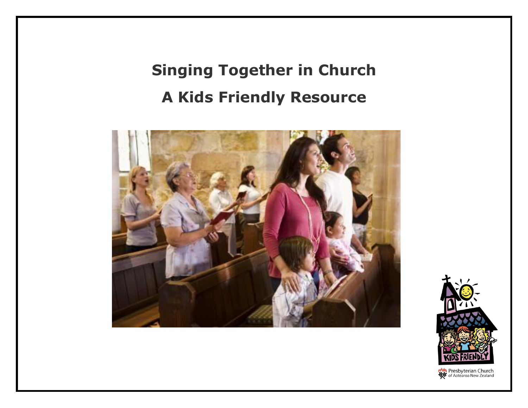## **Singing Together in Church A Kids Friendly Resource**





**MAN** Presbyterian Church<br>Sof Aotearoa New Zealand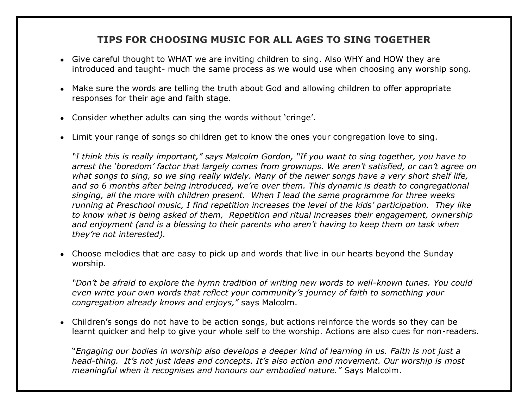### **TIPS FOR CHOOSING MUSIC FOR ALL AGES TO SING TOGETHER**

- Give careful thought to WHAT we are inviting children to sing. Also WHY and HOW they are introduced and taught- much the same process as we would use when choosing any worship song.
- Make sure the words are telling the truth about God and allowing children to offer appropriate responses for their age and faith stage.
- Consider whether adults can sing the words without 'cringe'.
- Limit your range of songs so children get to know the ones your congregation love to sing.

*"I think this is really important," says Malcolm Gordon, "If you want to sing together, you have to arrest the 'boredom' factor that largely comes from grownups. We aren't satisfied, or can't agree on what songs to sing, so we sing really widely. Many of the newer songs have a very short shelf life, and so 6 months after being introduced, we're over them. This dynamic is death to congregational singing, all the more with children present. When I lead the same programme for three weeks running at Preschool music, I find repetition increases the level of the kids' participation. They like to know what is being asked of them, Repetition and ritual increases their engagement, ownership and enjoyment (and is a blessing to their parents who aren't having to keep them on task when they're not interested).*

• Choose melodies that are easy to pick up and words that live in our hearts beyond the Sunday worship.

*"Don't be afraid to explore the hymn tradition of writing new words to well-known tunes. You could even write your own words that reflect your community's journey of faith to something your congregation already knows and enjoys,"* says Malcolm.

• Children's songs do not have to be action songs, but actions reinforce the words so they can be learnt quicker and help to give your whole self to the worship. Actions are also cues for non-readers.

"*Engaging our bodies in worship also develops a deeper kind of learning in us. Faith is not just a head-thing. It's not just ideas and concepts. It's also action and movement. Our worship is most meaningful when it recognises and honours our embodied nature."* Says Malcolm.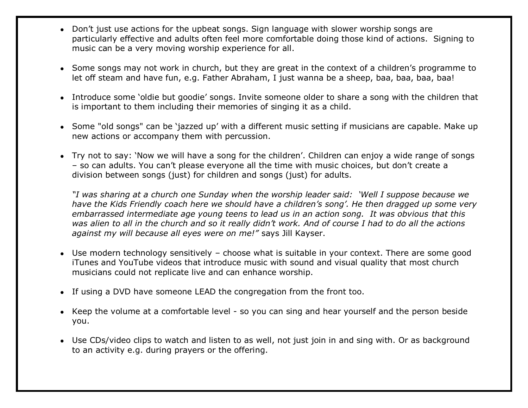- Don't just use actions for the upbeat songs. Sign language with slower worship songs are particularly effective and adults often feel more comfortable doing those kind of actions. Signing to music can be a very moving worship experience for all.
- Some songs may not work in church, but they are great in the context of a children's programme to let off steam and have fun, e.g. Father Abraham, I just wanna be a sheep, baa, baa, baa, baa!
- Introduce some 'oldie but goodie' songs. Invite someone older to share a song with the children that is important to them including their memories of singing it as a child.
- Some "old songs" can be 'jazzed up' with a different music setting if musicians are capable. Make up new actions or accompany them with percussion.
- Try not to say: 'Now we will have a song for the children'. Children can enjoy a wide range of songs – so can adults. You can't please everyone all the time with music choices, but don't create a division between songs (just) for children and songs (just) for adults.

*"I was sharing at a church one Sunday when the worship leader said: 'Well I suppose because we have the Kids Friendly coach here we should have a children's song'. He then dragged up some very embarrassed intermediate age young teens to lead us in an action song. It was obvious that this was alien to all in the church and so it really didn't work. And of course I had to do all the actions against my will because all eyes were on me!"* says Jill Kayser.

- Use modern technology sensitively choose what is suitable in your context. There are some good iTunes and YouTube videos that introduce music with sound and visual quality that most church musicians could not replicate live and can enhance worship.
- If using a DVD have someone LEAD the congregation from the front too.
- Keep the volume at a comfortable level so you can sing and hear yourself and the person beside you.
- Use CDs/video clips to watch and listen to as well, not just join in and sing with. Or as background to an activity e.g. during prayers or the offering.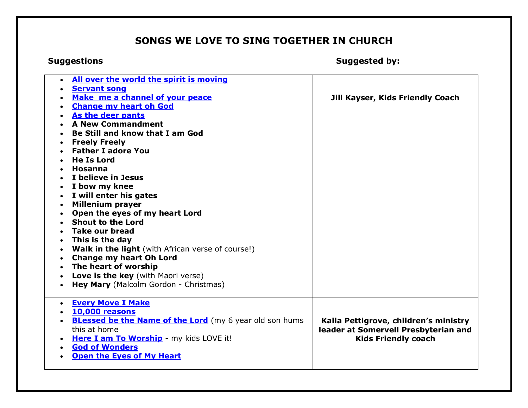## **SONGS WE LOVE TO SING TOGETHER IN CHURCH**

**Suggestions Suggested by:**

| All over the world the spirit is moving<br>$\bullet$<br><b>Servant song</b><br>Make me a channel of your peace<br><b>Change my heart oh God</b>                                                                                                                                                                                        | Jill Kayser, Kids Friendly Coach                                                                            |
|----------------------------------------------------------------------------------------------------------------------------------------------------------------------------------------------------------------------------------------------------------------------------------------------------------------------------------------|-------------------------------------------------------------------------------------------------------------|
| As the deer pants<br><b>A New Commandment</b><br>Be Still and know that I am God<br><b>Freely Freely</b><br><b>Father I adore You</b><br><b>He Is Lord</b><br><b>Hosanna</b><br>I believe in Jesus<br>I bow my knee<br>I will enter his gates<br><b>Millenium prayer</b><br>Open the eyes of my heart Lord<br><b>Shout to the Lord</b> |                                                                                                             |
| Take our bread<br>This is the day<br>Walk in the light (with African verse of course!)<br><b>Change my heart Oh Lord</b><br>The heart of worship<br><b>Love is the key</b> (with Maori verse)<br>Hey Mary (Malcolm Gordon - Christmas)                                                                                                 |                                                                                                             |
| <b>Every Move I Make</b><br>$\bullet$<br><b>10,000 reasons</b><br><b>BLessed be the Name of the Lord</b> (my 6 year old son hums<br>this at home<br>Here I am To Worship - my kids LOVE it!<br><b>God of Wonders</b><br><b>Open the Eyes of My Heart</b>                                                                               | Kaila Pettigrove, children's ministry<br>leader at Somervell Presbyterian and<br><b>Kids Friendly coach</b> |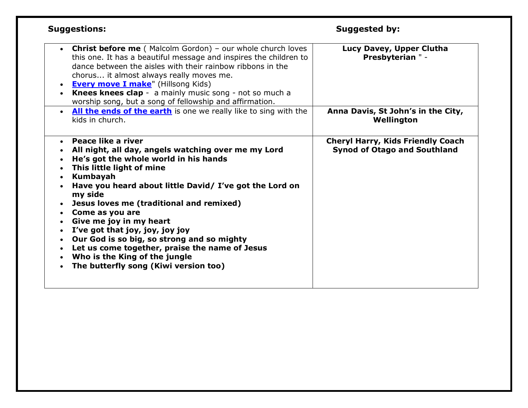| <b>Suggestions:</b>                                                                                                                                                                                                                                                                                                                                                                                                                                                                                                                                                                    | <b>Suggested by:</b>                                                            |
|----------------------------------------------------------------------------------------------------------------------------------------------------------------------------------------------------------------------------------------------------------------------------------------------------------------------------------------------------------------------------------------------------------------------------------------------------------------------------------------------------------------------------------------------------------------------------------------|---------------------------------------------------------------------------------|
| <b>Christ before me</b> (Malcolm Gordon) - our whole church loves<br>$\bullet$<br>this one. It has a beautiful message and inspires the children to<br>dance between the aisles with their rainbow ribbons in the<br>chorus it almost always really moves me.<br><b>Every move I make"</b> (Hillsong Kids)<br>$\bullet$<br>Knees knees clap - a mainly music song - not so much a<br>worship song, but a song of fellowship and affirmation.                                                                                                                                           | Lucy Davey, Upper Clutha<br><b>Presbyterian " -</b>                             |
| . All the ends of the earth is one we really like to sing with the<br>kids in church.                                                                                                                                                                                                                                                                                                                                                                                                                                                                                                  | Anna Davis, St John's in the City,<br>Wellington                                |
| <b>Peace like a river</b><br>$\bullet$<br>All night, all day, angels watching over me my Lord<br>He's got the whole world in his hands<br>This little light of mine<br>Kumbayah<br>Have you heard about little David/ I've got the Lord on<br>my side<br>Jesus loves me (traditional and remixed)<br>Come as you are<br>Give me joy in my heart<br>I've got that joy, joy, joy joy<br>Our God is so big, so strong and so mighty<br>$\bullet$<br>Let us come together, praise the name of Jesus<br>$\bullet$<br>Who is the King of the jungle<br>The butterfly song (Kiwi version too) | <b>Cheryl Harry, Kids Friendly Coach</b><br><b>Synod of Otago and Southland</b> |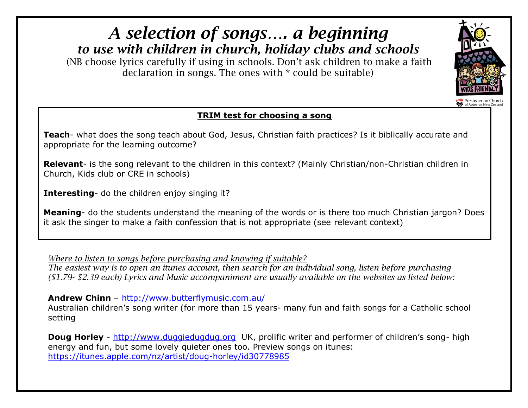

# *A selection of songs…. a beginning*

*to use with children in church, holiday clubs and schools*

(NB choose lyrics carefully if using in schools. Don't ask children to make a faith declaration in songs. The ones with \* could be suitable)

## **TRIM test for choosing a song**

**Teach**- what does the song teach about God, Jesus, Christian faith practices? Is it biblically accurate and appropriate for the learning outcome?

**Relevant**- is the song relevant to the children in this context? (Mainly Christian/non-Christian children in Church, Kids club or CRE in schools)

**Interesting**- do the children enjoy singing it?

**Meaning**- do the students understand the meaning of the words or is there too much Christian jargon? Does it ask the singer to make a faith confession that is not appropriate (see relevant context)

*Where to listen to songs before purchasing and knowing if suitable?*

*The easiest way is to open an itunes account, then search for an individual song, listen before purchasing (\$1.79- \$2.39 each) Lyrics and Music accompaniment are usually available on the websites as listed below:*

**Andrew Chinn** – <http://www.butterflymusic.com.au/>

Australian children's song writer (for more than 15 years- many fun and faith songs for a Catholic school setting

**Doug Horley** - [http://www.duggiedugdug.org](http://www.duggiedugdug.org/) UK, prolific writer and performer of children's song- high energy and fun, but some lovely quieter ones too. Preview songs on itunes: <https://itunes.apple.com/nz/artist/doug-horley/id30778985>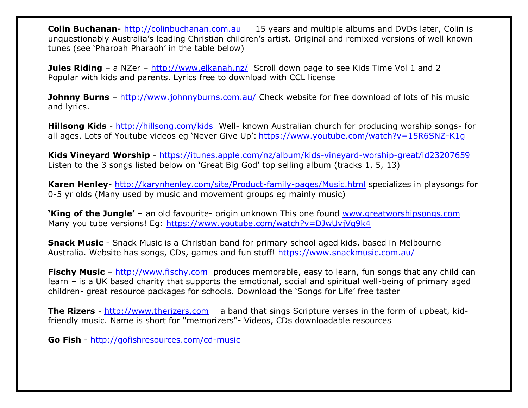**Colin Buchanan**- [http://colinbuchanan.com.au](http://colinbuchanan.com.au/) 15 years and multiple albums and DVDs later, Colin is unquestionably Australia's leading Christian children's artist. Original and remixed versions of well known tunes (see 'Pharoah Pharaoh' in the table below)

**Jules Riding** – a NZer – <http://www.elkanah.nz/>Scroll down page to see Kids Time Vol 1 and 2 Popular with kids and parents. Lyrics free to download with CCL license

**Johnny Burns** – <http://www.johnnyburns.com.au/> Check website for free download of lots of his music and lyrics.

**Hillsong Kids** - <http://hillsong.com/kids>Well- known Australian church for producing worship songs- for all ages. Lots of Youtube videos eg 'Never Give Up': <https://www.youtube.com/watch?v=15R6SNZ-K1g>

**Kids Vineyard Worship** - <https://itunes.apple.com/nz/album/kids-vineyard-worship-great/id23207659> Listen to the 3 songs listed below on 'Great Big God' top selling album (tracks 1, 5, 13)

**Karen Henley**- <http://karynhenley.com/site/Product-family-pages/Music.html> specializes in playsongs for 0-5 yr olds (Many used by music and movement groups eg mainly music)

**'King of the Jungle'** – an old favourite- origin unknown This one found [www.greatworshipsongs.com](http://www.greatworshipsongs.com/) Many you tube versions! Eg:<https://www.youtube.com/watch?v=DJwUvjVq9k4>

**Snack Music** - Snack Music is a Christian band for primary school aged kids, based in Melbourne Australia. Website has songs, CDs, games and fun stuff!<https://www.snackmusic.com.au/>

**Fischy Music** – [http://www.fischy.com](http://www.fischy.com/) produces memorable, easy to learn, fun songs that any child can learn – is a UK based charity that supports the emotional, social and spiritual well-being of primary aged children- great resource packages for schools. Download the 'Songs for Life' free taster

**The Rizers** - [http://www.therizers.com](http://www.therizers.com/) a band that sings Scripture verses in the form of upbeat, kidfriendly music. Name is short for "memorizers"- Videos, CDs downloadable resources

**Go Fish** - <http://gofishresources.com/cd-music>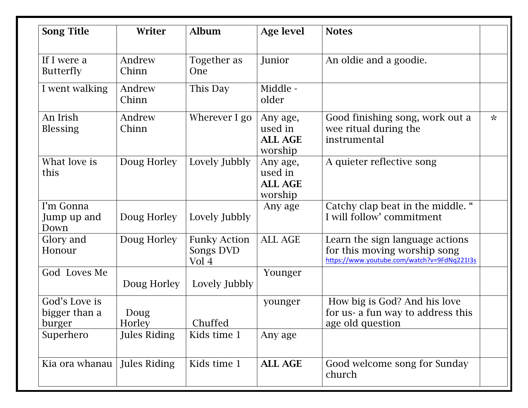| <b>Song Title</b>                        | Writer              | <b>Album</b>                              | <b>Age level</b>                                 | <b>Notes</b>                                                                                                   |   |
|------------------------------------------|---------------------|-------------------------------------------|--------------------------------------------------|----------------------------------------------------------------------------------------------------------------|---|
| If I were a<br><b>Butterfly</b>          | Andrew<br>Chinn     | Together as<br><b>One</b>                 | Junior                                           | An oldie and a goodie.                                                                                         |   |
| I went walking                           | Andrew<br>Chinn     | This Day                                  | Middle -<br>older                                |                                                                                                                |   |
| An Irish<br><b>Blessing</b>              | Andrew<br>Chinn     | Wherever I go                             | Any age,<br>used in<br><b>ALL AGE</b><br>worship | Good finishing song, work out a<br>wee ritual during the<br>instrumental                                       | 卡 |
| What love is<br>this                     | Doug Horley         | Lovely Jubbly                             | Any age,<br>used in<br><b>ALL AGE</b><br>worship | A quieter reflective song                                                                                      |   |
| I'm Gonna<br>Jump up and<br>Down         | Doug Horley         | Lovely Jubbly                             | Any age                                          | Catchy clap beat in the middle. "<br>I will follow' commitment                                                 |   |
| Glory and<br>Honour                      | Doug Horley         | <b>Funky Action</b><br>Songs DVD<br>Vol 4 | <b>ALL AGE</b>                                   | Learn the sign language actions<br>for this moving worship song<br>https://www.youtube.com/watch?v=9FdNq221I3s |   |
| God Loves Me                             | Doug Horley         | Lovely Jubbly                             | Younger                                          |                                                                                                                |   |
| God's Love is<br>bigger than a<br>burger | Doug<br>Horley      | Chuffed                                   | younger                                          | How big is God? And his love<br>for us- a fun way to address this<br>age old question                          |   |
| Superhero                                | <b>Jules Riding</b> | Kids time 1                               | Any age                                          |                                                                                                                |   |
| Kia ora whanau                           | <b>Jules Riding</b> | Kids time 1                               | <b>ALL AGE</b>                                   | Good welcome song for Sunday<br>church                                                                         |   |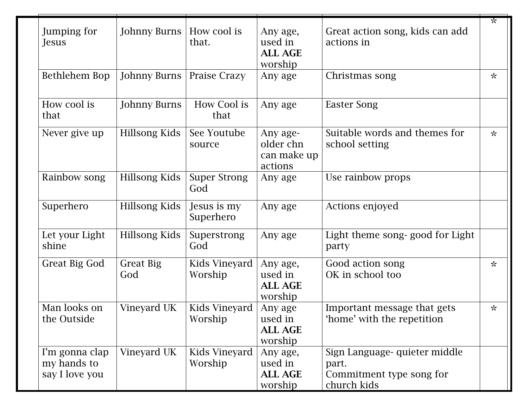| Jumping for<br>Jesus                            | <b>Johnny Burns</b>     | How cool is<br>that.       | Any age,<br>used in<br><b>ALL AGE</b><br>worship | Great action song, kids can add<br>actions in                                     | ☆       |
|-------------------------------------------------|-------------------------|----------------------------|--------------------------------------------------|-----------------------------------------------------------------------------------|---------|
| Bethlehem Bop                                   | <b>Johnny Burns</b>     | Praise Crazy               | Any age                                          | Christmas song                                                                    | 녻       |
| How cool is<br>that                             | <b>Johnny Burns</b>     | How Cool is<br>that        | Any age                                          | <b>Easter Song</b>                                                                |         |
| Never give up                                   | Hillsong Kids           | See Youtube<br>source      | Any age-<br>older chn<br>can make up<br>actions  | Suitable words and themes for<br>school setting                                   | 녻       |
| Rainbow song                                    | <b>Hillsong Kids</b>    | <b>Super Strong</b><br>God | Any age                                          | Use rainbow props                                                                 |         |
| Superhero                                       | Hillsong Kids           | Jesus is my<br>Superhero   | Any age                                          | Actions enjoyed                                                                   |         |
| Let your Light<br>shine                         | <b>Hillsong Kids</b>    | Superstrong<br>God         | Any age                                          | Light theme song-good for Light<br>party                                          |         |
| <b>Great Big God</b>                            | <b>Great Big</b><br>God | Kids Vineyard<br>Worship   | Any age,<br>used in<br><b>ALL AGE</b><br>worship | Good action song<br>OK in school too                                              | $\star$ |
| Man looks on<br>the Outside                     | Vineyard UK             | Kids Vineyard<br>Worship   | Any age<br>used in<br><b>ALL AGE</b><br>worship  | Important message that gets<br>'home' with the repetition                         | $\star$ |
| I'm gonna clap<br>my hands to<br>say I love you | Vineyard UK             | Kids Vineyard<br>Worship   | Any age,<br>used in<br>ALL AGE<br>worship        | Sign Language- quieter middle<br>part.<br>Commitment type song for<br>church kids |         |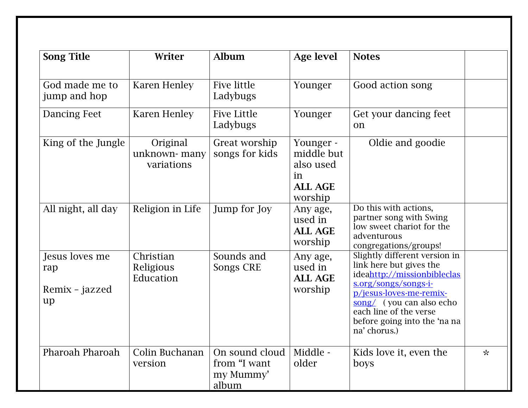| <b>Song Title</b>                             | Writer                                 | <b>Album</b>                                         | <b>Age level</b>                                                        | <b>Notes</b>                                                                                                                                                                                                                                     |         |
|-----------------------------------------------|----------------------------------------|------------------------------------------------------|-------------------------------------------------------------------------|--------------------------------------------------------------------------------------------------------------------------------------------------------------------------------------------------------------------------------------------------|---------|
| God made me to<br>jump and hop                | Karen Henley                           | Five little<br>Ladybugs                              | Younger                                                                 | Good action song                                                                                                                                                                                                                                 |         |
| <b>Dancing Feet</b>                           | <b>Karen Henley</b>                    | <b>Five Little</b><br>Ladybugs                       | Younger                                                                 | Get your dancing feet<br>on                                                                                                                                                                                                                      |         |
| King of the Jungle                            | Original<br>unknown-many<br>variations | Great worship<br>songs for kids                      | Younger -<br>middle but<br>also used<br>in<br><b>ALL AGE</b><br>worship | Oldie and goodie                                                                                                                                                                                                                                 |         |
| All night, all day                            | Religion in Life                       | Jump for Joy                                         | Any age,<br>used in<br><b>ALL AGE</b><br>worship                        | Do this with actions,<br>partner song with Swing<br>low sweet chariot for the<br>adventurous<br>congregations/groups!                                                                                                                            |         |
| Jesus loves me<br>rap<br>Remix - jazzed<br>up | Christian<br>Religious<br>Education    | Sounds and<br>Songs CRE                              | Any age,<br>used in<br><b>ALL AGE</b><br>worship                        | Slightly different version in<br>link here but gives the<br>ideahttp://missionbibleclas<br>s.org/songs/songs-i-<br>p/jesus-loves-me-remix-<br>song/ (you can also echo<br>each line of the verse<br>before going into the 'na na<br>na' chorus.) |         |
| Pharoah Pharoah                               | Colin Buchanan<br>version              | On sound cloud<br>from "I want<br>my Mummy'<br>album | Middle -<br>older                                                       | Kids love it, even the<br>boys                                                                                                                                                                                                                   | $\star$ |